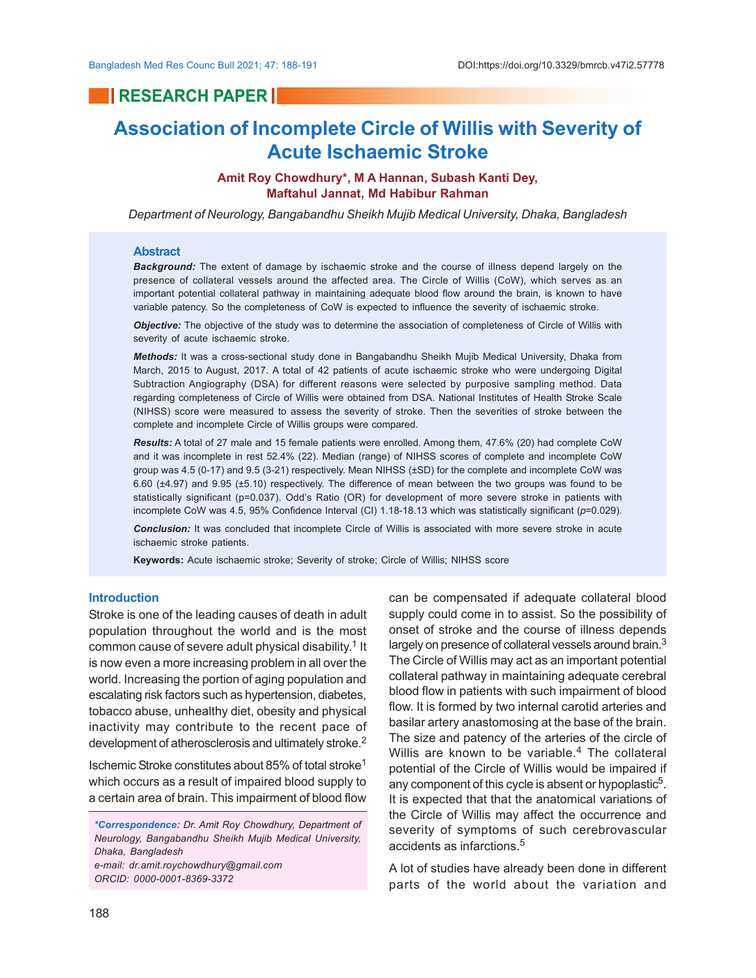# **RESEARCH PAPER**

# **Association of Incomplete Circle of Willis with Severity of Acute Ischaemic Stroke**

## **Amit Roy Chowdhury\*, M A Hannan, Subash Kanti Dey, Maftahul Jannat, Md Habibur Rahman**

*Department of Neurology, Bangabandhu Sheikh Mujib Medical University, Dhaka, Bangladesh*

#### **Abstract**

*Background:* The extent of damage by ischaemic stroke and the course of illness depend largely on the presence of collateral vessels around the affected area. The Circle of Willis (CoW), which serves as an important potential collateral pathway in maintaining adequate blood flow around the brain, is known to have variable patency. So the completeness of CoW is expected to influence the severity of ischaemic stroke.

*Objective:* The objective of the study was to determine the association of completeness of Circle of Willis with severity of acute ischaemic stroke.

*Methods:* It was a cross-sectional study done in Bangabandhu Sheikh Mujib Medical University, Dhaka from March, 2015 to August, 2017. A total of 42 patients of acute ischaemic stroke who were undergoing Digital Subtraction Angiography (DSA) for different reasons were selected by purposive sampling method. Data regarding completeness of Circle of Willis were obtained from DSA. National Institutes of Health Stroke Scale (NIHSS) score were measured to assess the severity of stroke. Then the severities of stroke between the complete and incomplete Circle of Willis groups were compared.

*Results:* A total of 27 male and 15 female patients were enrolled. Among them, 47.6% (20) had complete CoW and it was incomplete in rest 52.4% (22). Median (range) of NIHSS scores of complete and incomplete CoW group was 4.5 (0-17) and 9.5 (3-21) respectively. Mean NIHSS (±SD) for the complete and incomplete CoW was 6.60 (±4.97) and 9.95 (±5.10) respectively. The difference of mean between the two groups was found to be statistically significant (p=0.037). Odd's Ratio (OR) for development of more severe stroke in patients with incomplete CoW was 4.5, 95% Confidence Interval (CI) 1.18-18.13 which was statistically significant ( $p=0.029$ ).

*Conclusion:* It was concluded that incomplete Circle of Willis is associated with more severe stroke in acute ischaemic stroke patients.

**Keywords:** Acute ischaemic stroke; Severity of stroke; Circle of Willis; NIHSS score

## **Introduction**

Stroke is one of the leading causes of death in adult population throughout the world and is the most common cause of severe adult physical disability.<sup>1</sup> It is now even a more increasing problem in all over the world. Increasing the portion of aging population and escalating risk factors such as hypertension, diabetes, tobacco abuse, unhealthy diet, obesity and physical inactivity may contribute to the recent pace of development of atherosclerosis and ultimately stroke.<sup>2</sup>

Ischemic Stroke constitutes about 85% of total stroke<sup>1</sup> which occurs as a result of impaired blood supply to a certain area of brain. This impairment of blood flow

can be compensated if adequate collateral blood supply could come in to assist. So the possibility of onset of stroke and the course of illness depends largely on presence of collateral vessels around brain.<sup>3</sup> The Circle of Willis may act as an important potential collateral pathway in maintaining adequate cerebral blood flow in patients with such impairment of blood flow. It is formed by two internal carotid arteries and basilar artery anastomosing at the base of the brain. The size and patency of the arteries of the circle of Willis are known to be variable.<sup>4</sup> The collateral potential of the Circle of Willis would be impaired if any component of this cycle is absent or hypoplastic $5$ . It is expected that that the anatomical variations of the Circle of Willis may affect the occurrence and severity of symptoms of such cerebrovascular accidents as infarctions.<sup>5</sup>

A lot of studies have already been done in different parts of the world about the variation and

*<sup>\*</sup>Correspondence: Dr. Amit Roy Chowdhury, Department of Neurology, Bangabandhu Sheikh Mujib Medical University, Dhaka, Bangladesh e-mail: dr.amit.roychowdhury@gmail.com ORCID: 0000-0001-8369-3372*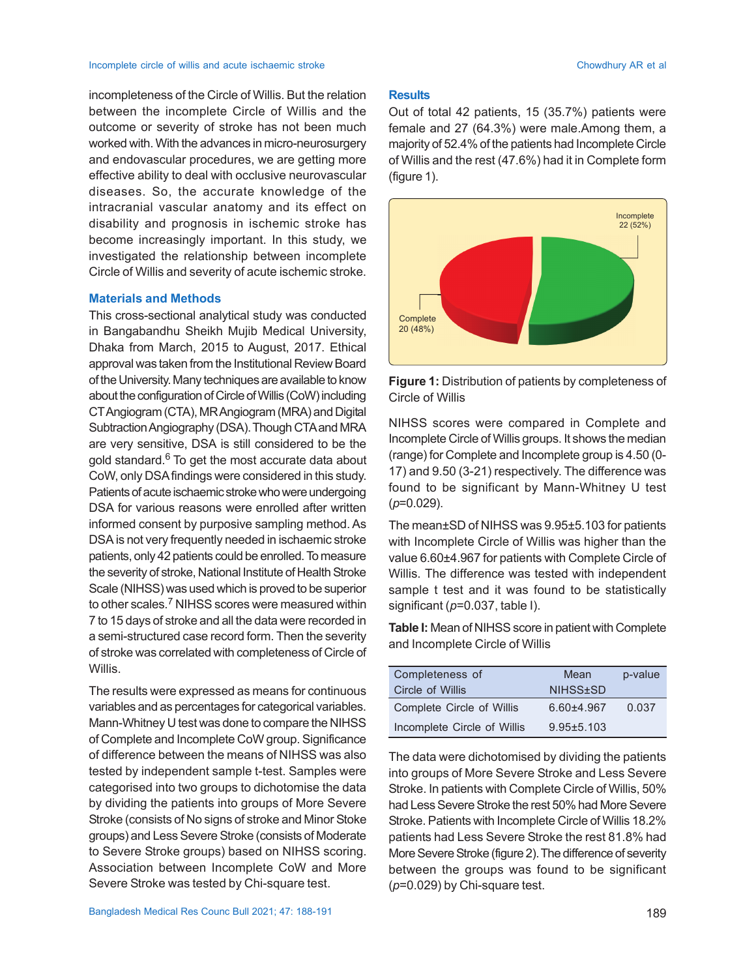#### Incomplete circle of willis and acute ischaemic stroke Chowdhury AR et al. Chowdhury AR et al.

incompleteness of the Circle of Willis. But the relation between the incomplete Circle of Willis and the outcome or severity of stroke has not been much worked with. With the advances in micro-neurosurgery and endovascular procedures, we are getting more effective ability to deal with occlusive neurovascular diseases. So, the accurate knowledge of the intracranial vascular anatomy and its effect on disability and prognosis in ischemic stroke has become increasingly important. In this study, we investigated the relationship between incomplete Circle of Willis and severity of acute ischemic stroke.

## **Materials and Methods**

This cross-sectional analytical study was conducted in Bangabandhu Sheikh Mujib Medical University, Dhaka from March, 2015 to August, 2017. Ethical approval was taken from the Institutional Review Board of the University. Many techniques are available to know about the configuration of Circle of Willis (CoW) including CTAngiogram (CTA), MR Angiogram (MRA) and Digital Subtraction Angiography (DSA). Though CTA and MRA are very sensitive, DSA is still considered to be the gold standard. $^6$  To get the most accurate data about CoW, only DSA findings were considered in this study. Patients of acute ischaemic stroke who were undergoing DSA for various reasons were enrolled after written informed consent by purposive sampling method. As DSA is not very frequently needed in ischaemic stroke patients, only 42 patients could be enrolled. To measure the severity of stroke, National Institute of Health Stroke Scale (NIHSS) was used which is proved to be superior to other scales.<sup>7</sup> NIHSS scores were measured within 7 to 15 days of stroke and all the data were recorded in a semi-structured case record form. Then the severity of stroke was correlated with completeness of Circle of Willis.

The results were expressed as means for continuous variables and as percentages for categorical variables. Mann-Whitney U test was done to compare the NIHSS of Complete and Incomplete CoW group. Significance of difference between the means of NIHSS was also tested by independent sample t-test. Samples were categorised into two groups to dichotomise the data by dividing the patients into groups of More Severe Stroke (consists of No signs of stroke and Minor Stoke groups) and Less Severe Stroke (consists of Moderate to Severe Stroke groups) based on NIHSS scoring. Association between Incomplete CoW and More Severe Stroke was tested by Chi-square test.

#### **Results**

Out of total 42 patients, 15 (35.7%) patients were female and 27 (64.3%) were male.Among them, a majority of 52.4% of the patients had Incomplete Circle of Willis and the rest (47.6%) had it in Complete form (figure 1).



**Figure 1:** Distribution of patients by completeness of Circle of Willis

NIHSS scores were compared in Complete and Incomplete Circle of Willis groups. It shows the median (range) for Complete and Incomplete group is 4.50 (0- 17) and 9.50 (3-21) respectively. The difference was found to be significant by Mann-Whitney U test (*p*=0.029).

The mean±SD of NIHSS was 9.95±5.103 for patients with Incomplete Circle of Willis was higher than the value 6.60±4.967 for patients with Complete Circle of Willis. The difference was tested with independent sample t test and it was found to be statistically significant (*p*=0.037, table I).

**Table I:** Mean of NIHSS score in patient with Complete and Incomplete Circle of Willis

| Completeness of             | Mean             | p-value |
|-----------------------------|------------------|---------|
| Circle of Willis            | NIHSS+SD         |         |
| Complete Circle of Willis   | $6.60 + 4.967$   | 0.037   |
| Incomplete Circle of Willis | $9.95 \pm 5.103$ |         |

The data were dichotomised by dividing the patients into groups of More Severe Stroke and Less Severe Stroke. In patients with Complete Circle of Willis, 50% had Less Severe Stroke the rest 50% had More Severe Stroke. Patients with Incomplete Circle of Willis 18.2% patients had Less Severe Stroke the rest 81.8% had More Severe Stroke (figure 2). The difference of severity between the groups was found to be significant (*p*=0.029) by Chi-square test.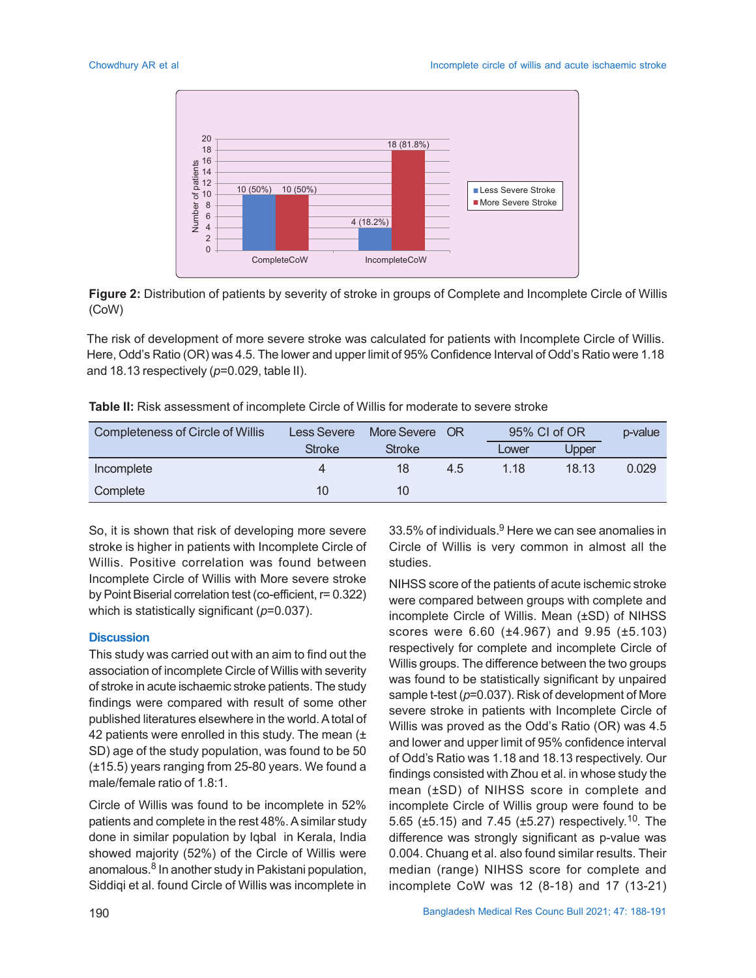

**Figure 2:** Distribution of patients by severity of stroke in groups of Complete and Incomplete Circle of Willis (CoW)

The risk of development of more severe stroke was calculated for patients with Incomplete Circle of Willis. Here, Odd's Ratio (OR) was 4.5. The lower and upper limit of 95% Confidence Interval of Odd's Ratio were 1.18 and 18.13 respectively (*p*=0.029, table II).

| <b>Completeness of Circle of Willis</b> | Less Severe   | More Severe   | - OR | 95% CI of OR |       | p-value |
|-----------------------------------------|---------------|---------------|------|--------------|-------|---------|
|                                         | <b>Stroke</b> | <b>Stroke</b> |      | Lower        | Upper |         |
| Incomplete                              |               | 18            | 4.5  | 1.18         | 18.13 | 0.029   |
| Complete                                | 10            | 10            |      |              |       |         |

So, it is shown that risk of developing more severe stroke is higher in patients with Incomplete Circle of Willis. Positive correlation was found between Incomplete Circle of Willis with More severe stroke by Point Biserial correlation test (co-efficient, r= 0.322) which is statistically significant ( $p=0.037$ ).

#### **Discussion**

This study was carried out with an aim to find out the association of incomplete Circle of Willis with severity of stroke in acute ischaemic stroke patients. The study findings were compared with result of some other published literatures elsewhere in the world.A total of 42 patients were enrolled in this study. The mean  $(±)$ SD) age of the study population, was found to be 50 (±15.5) years ranging from 25-80 years. We found a male/female ratio of 1.8:1.

Circle of Willis was found to be incomplete in 52% patients and complete in the rest 48%. A similar study done in similar population by Iqbal in Kerala, India showed majority (52%) of the Circle of Willis were anomalous.<sup>8</sup> In another study in Pakistani population, Siddiqi et al. found Circle of Willis was incomplete in

33.5% of individuals. $^9$  Here we can see anomalies in Circle of Willis is very common in almost all the studies.

NIHSS score of the patients of acute ischemic stroke were compared between groups with complete and incomplete Circle of Willis. Mean (±SD) of NIHSS scores were 6.60 (±4.967) and 9.95 (±5.103) respectively for complete and incomplete Circle of Willis groups. The difference between the two groups was found to be statistically significant by unpaired sample t-test ( $p=0.037$ ). Risk of development of More severe stroke in patients with Incomplete Circle of Willis was proved as the Odd's Ratio (OR) was 4.5 and lower and upper limit of 95% confidence interval of Odd's Ratio was 1.18 and 18.13 respectively. Our findings consisted with Zhou et al. in whose study the mean (±SD) of NIHSS score in complete and incomplete Circle of Willis group were found to be 5.65 (±5.15) and 7.45 (±5.27) respectively.<sup>10</sup>. The difference was strongly significant as p-value was 0.004. Chuang et al. also found similar results. Their median (range) NIHSS score for complete and incomplete CoW was 12 (8-18) and 17 (13-21)